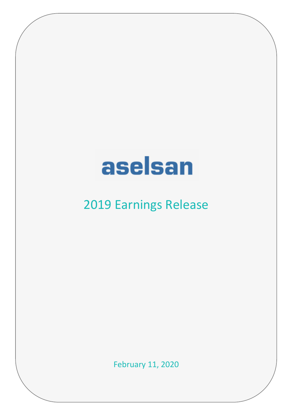# aselsan

# 2019 Earnings Release

February 11, 2020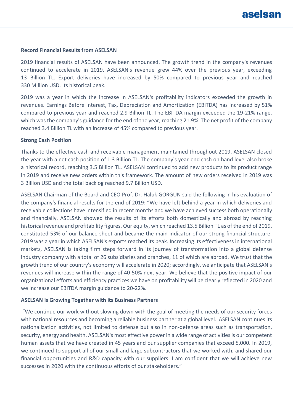#### **Record Financial Results from ASELSAN**

2019 financial results of ASELSAN have been announced. The growth trend in the company's revenues continued to accelerate in 2019. ASELSAN's revenue grew 44% over the previous year, exceeding 13 Billion TL. Export deliveries have increased by 50% compared to previous year and reached 330 Million USD, its historical peak.

2019 was a year in which the increase in ASELSAN's profitability indicators exceeded the growth in revenues. Earnings Before Interest, Tax, Depreciation and Amortization (EBITDA) has increased by 51% compared to previous year and reached 2.9 Billion TL. The EBITDA margin exceeded the 19-21% range, which was the company's guidance for the end of the year, reaching 21.9%. The net profit of the company reached 3.4 Billion TL with an increase of 45% compared to previous year.

#### **Strong Cash Position**

Thanks to the effective cash and receivable management maintained throughout 2019, ASELSAN closed the year with a net cash position of 1.3 Billion TL. The company's year-end cash on hand level also broke a historical record, reaching 3.5 Billion TL. ASELSAN continued to add new products to its product range in 2019 and receive new orders within this framework. The amount of new orders received in 2019 was 3 Billion USD and the total backlog reached 9.7 Billion USD.

ASELSAN Chairman of the Board and CEO Prof. Dr. Haluk GÖRGÜN said the following in his evaluation of the company's financial results for the end of 2019: "We have left behind a year in which deliveries and receivable collections have intensified in recent months and we have achieved success both operationally and financially. ASELSAN showed the results of its efforts both domestically and abroad by reaching historical revenue and profitability figures. Our equity, which reached 13.5 Billion TL as of the end of 2019, constituted 53% of our balance sheet and became the main indicator of our strong financial structure. 2019 was a year in which ASELSAN's exports reached its peak. Increasing its effectiveness in international markets, ASELSAN is taking firm steps forward in its journey of transformation into a global defense industry company with a total of 26 subsidiaries and branches, 11 of which are abroad. We trust that the growth trend of our country's economy will accelerate in 2020; accordingly, we anticipate that ASELSAN's revenues will increase within the range of 40-50% next year. We believe that the positive impact of our organizational efforts and efficiency practices we have on profitability will be clearly reflected in 2020 and we increase our EBITDA margin guidance to 20-22%.

#### **ASELSAN is Growing Together with its Business Partners**

"We continue our work without slowing down with the goal of meeting the needs of our security forces with national resources and becoming a reliable business partner at a global level. ASELSAN continues its nationalization activities, not limited to defense but also in non-defense areas such as transportation, security, energy and health. ASELSAN's most effective power in a wide range of activities is our competent human assets that we have created in 45 years and our supplier companies that exceed 5,000. In 2019, we continued to support all of our small and large subcontractors that we worked with, and shared our financial opportunities and R&D capacity with our suppliers. I am confident that we will achieve new successes in 2020 with the continuous efforts of our stakeholders."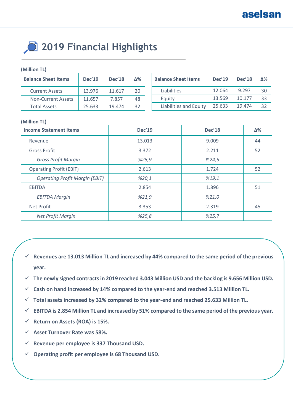# **2019 Financial Highlights**

#### **(Million TL)**

| <b>Balance Sheet Items</b> | <b>Dec'19</b> | <b>Dec'18</b> | ለ% | Bal |
|----------------------------|---------------|---------------|----|-----|
| <b>Current Assets</b>      | 13.976        | 11.617        | 20 |     |
| <b>Non-Current Assets</b>  | 11.657        | 7.857         | 48 |     |
| <b>Total Assets</b>        | 25.633        | 19.474        | 32 |     |

| <b>Balance Sheet Items</b> | <b>Dec'19</b> | <b>Dec'18</b> | $\mathsf{N}\%$ |
|----------------------------|---------------|---------------|----------------|
| Liabilities                | 12.064        | 9.297         | 30             |
| Equity                     | 13.569        | 10.177        | 33             |
| Liabilities and Equity     | 25.633        | 19.474        | 32             |

#### **(Million TL)**

| <b>Income Statement Items</b>         | <b>Dec'19</b> | <b>Dec'18</b> | $\Delta\%$ |
|---------------------------------------|---------------|---------------|------------|
| Revenue                               | 13.013        | 9.009         | 44         |
| <b>Gross Profit</b>                   | 3.372         | 2.211         | 52         |
| <b>Gross Profit Margin</b>            | %25,9         | %24,5         |            |
| <b>Operating Profit (EBIT)</b>        | 2.613         | 1.724         | 52         |
| <b>Operating Profit Margin (EBIT)</b> | %20,1         | %19,1         |            |
| <b>EBITDA</b>                         | 2.854         | 1.896         | 51         |
| <b>EBITDA Margin</b>                  | %21,9         | %21,0         |            |
| Net Profit                            | 3.353         | 2.319         | 45         |
| Net Profit Margin                     | %25,8         | %25,7         |            |

- **Revenues are 13.013 Million TL and increased by 44% compared to the same period of the previous year.**
- **The newly signed contracts in 2019 reached 3.043 Million USD and the backlog is 9.656 Million USD.**
- **Cash on hand increased by 14% compared to the year-end and reached 3.513 Million TL.**
- **Total assets increased by 32% compared to the year-end and reached 25.633 Million TL.**
- **EBITDA is 2.854 Million TL and increased by 51% compared to the same period of the previous year.**
- **Return on Assets (ROA) is 15%.**
- **Asset Turnover Rate was 58%.**
- **Revenue per employee is 337 Thousand USD.**
- **Operating profit per employee is 68 Thousand USD.**